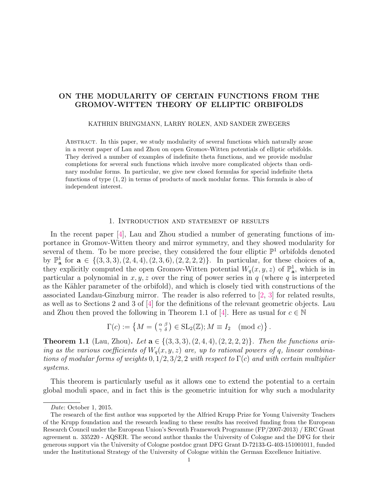# ON THE MODULARITY OF CERTAIN FUNCTIONS FROM THE GROMOV-WITTEN THEORY OF ELLIPTIC ORBIFOLDS

### KATHRIN BRINGMANN, LARRY ROLEN, AND SANDER ZWEGERS

Abstract. In this paper, we study modularity of several functions which naturally arose in a recent paper of Lau and Zhou on open Gromov-Witten potentials of elliptic orbifolds. They derived a number of examples of indefinite theta functions, and we provide modular completions for several such functions which involve more complicated objects than ordinary modular forms. In particular, we give new closed formulas for special indefinite theta functions of type (1, 2) in terms of products of mock modular forms. This formula is also of independent interest.

# 1. Introduction and statement of results

In the recent paper [\[4\]](#page-14-0), Lau and Zhou studied a number of generating functions of importance in Gromov-Witten theory and mirror symmetry, and they showed modularity for several of them. To be more precise, they considered the four elliptic  $\mathbb{P}^1$  orbifolds denoted by  $\mathbb{P}^1_{\mathbf{a}}$  for  $\mathbf{a} \in \{(3,3,3), (2,4,4), (2,3,6), (2,2,2,2)\}.$  In particular, for these choices of  $\mathbf{a}$ , they explicitly computed the open Gromov-Witten potential  $W_q(x, y, z)$  of  $\mathbb{P}^1_{\mathbf{a}}$ , which is in particular a polynomial in  $x, y, z$  over the ring of power series in q (where q is interpreted as the Kähler parameter of the orbifold), and which is closely tied with constructions of the associated Landau-Ginzburg mirror. The reader is also referred to [\[2,](#page-14-1) [3\]](#page-14-2) for related results, as well as to Sections 2 and 3 of [\[4\]](#page-14-0) for the definitions of the relevant geometric objects. Lau and Zhou then proved the following in Theorem 1.1 of [\[4\]](#page-14-0). Here as usual for  $c \in \mathbb{N}$ 

$$
\Gamma(c) := \left\{ M = \left( \begin{smallmatrix} \alpha & \beta \\ \gamma & \delta \end{smallmatrix} \right) \in SL_2(\mathbb{Z}); M \equiv I_2 \pmod{c} \right\}.
$$

<span id="page-0-0"></span>**Theorem 1.1** (Lau, Zhou). Let  $a \in \{(3,3,3), (2,4,4), (2,2,2,2)\}$ . Then the functions arising as the various coefficients of  $W<sub>a</sub>(x, y, z)$  are, up to rational powers of q, linear combinations of modular forms of weights  $0, 1/2, 3/2, 2$  with respect to  $\Gamma(c)$  and with certain multiplier systems.

This theorem is particularly useful as it allows one to extend the potential to a certain global moduli space, and in fact this is the geometric intuition for why such a modularity

Date: October 1, 2015.

The research of the first author was supported by the Alfried Krupp Prize for Young University Teachers of the Krupp foundation and the research leading to these results has received funding from the European Research Council under the European Union's Seventh Framework Programme (FP/2007-2013) / ERC Grant agreement n. 335220 - AQSER. The second author thanks the University of Cologne and the DFG for their generous support via the University of Cologne postdoc grant DFG Grant D-72133-G-403-151001011, funded under the Institutional Strategy of the University of Cologne within the German Excellence Initiative.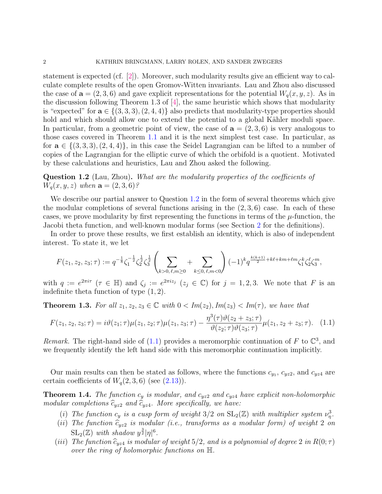statement is expected (cf. [\[2\]](#page-14-1)). Moreover, such modularity results give an efficient way to calculate complete results of the open Gromov-Witten invariants. Lau and Zhou also discussed the case of  $\mathbf{a} = (2, 3, 6)$  and gave explicit representations for the potential  $W_q(x, y, z)$ . As in the discussion following Theorem 1.3 of  $[4]$ , the same heuristic which shows that modularity is "expected" for  $\mathbf{a} \in \{(3,3,3), (2,4,4)\}\$ also predicts that modularity-type properties should hold and which should allow one to extend the potential to a global Kähler moduli space. In particular, from a geometric point of view, the case of  $a = (2, 3, 6)$  is very analogous to those cases covered in Theorem [1.1](#page-0-0) and it is the next simplest test case. In particular, as for  $\mathbf{a} \in \{(3,3,3), (2,4,4)\}\$ , in this case the Seidel Lagrangian can be lifted to a number of copies of the Lagrangian for the elliptic curve of which the orbifold is a quotient. Motivated by these calculations and heuristics, Lau and Zhou asked the following.

<span id="page-1-0"></span>Question 1.2 (Lau, Zhou). What are the modularity properties of the coefficients of  $W_q(x, y, z)$  when  $\mathbf{a} = (2, 3, 6)$ ?

We describe our partial answer to Question [1.2](#page-1-0) in the form of several theorems which give the modular completions of several functions arising in the  $(2,3,6)$  case. In each of these cases, we prove modularity by first representing the functions in terms of the  $\mu$ -function, the Jacobi theta function, and well-known modular forms (see Section [2](#page-2-0) for the definitions).

In order to prove these results, we first establish an identity, which is also of independent interest. To state it, we let

$$
F(z_1, z_2, z_3; \tau) := q^{-\frac{1}{8}} \zeta_1^{-\frac{1}{2}} \zeta_2^{\frac{1}{2}} \zeta_3^{\frac{1}{2}} \left( \sum_{k>0, \ell, m \ge 0} + \sum_{k \le 0, \ell, m < 0} \right) (-1)^k q^{\frac{k(k+1)}{2} + k\ell + km + \ell m} \zeta_1^k \zeta_2^{\ell} \zeta_3^m,
$$

with  $q := e^{2\pi i \tau}$  ( $\tau \in \mathbb{H}$ ) and  $\zeta_j := e^{2\pi i z_j}$  ( $z_j \in \mathbb{C}$ ) for  $j = 1, 2, 3$ . We note that F is an indefinite theta function of type  $(1, 2)$ .

<span id="page-1-3"></span>**Theorem 1.3.** For all  $z_1, z_2, z_3 \in \mathbb{C}$  with  $0 < Im(z_2), Im(z_3) < Im(\tau)$ , we have that

<span id="page-1-1"></span>
$$
F(z_1, z_2, z_3; \tau) = i\vartheta(z_1; \tau)\mu(z_1, z_2; \tau)\mu(z_1, z_3; \tau) - \frac{\eta^3(\tau)\vartheta(z_2 + z_3; \tau)}{\vartheta(z_2; \tau)\vartheta(z_3; \tau)}\mu(z_1, z_2 + z_3; \tau). \tag{1.1}
$$

Remark. The right-hand side of [\(1.1\)](#page-1-1) provides a meromorphic continuation of F to  $\mathbb{C}^3$ , and we frequently identify the left hand side with this meromorphic continuation implicitly.

Our main results can then be stated as follows, where the functions  $c_{y_1}, c_{y_2},$  and  $c_{y_2}$  are certain coefficients of  $W<sub>q</sub>(2,3,6)$  (see  $(2.13)$ ).

<span id="page-1-2"></span>**Theorem 1.4.** The function  $c_y$  is modular, and  $c_{yz2}$  and  $c_{yz4}$  have explicit non-holomorphic modular completions  $\widehat{c}_{yz2}$  and  $\widehat{c}_{yz4}$ . More specifically, we have:

- (i) The function  $c_y$  is a cusp form of weight  $3/2$  on  $SL_2(\mathbb{Z})$  with multiplier system  $\nu_{\eta}^3$ .
- (ii) The function  $\tilde{c}_{yz2}$  is modular (i.e., transforms as a modular form) of weight 2 on  $\mathrm{SL}_2(\mathbb{Z})$  with shadow  $y^{\frac{3}{2}}|\eta|^6$ .
- (iii) The function  $\widehat{c}_{vz4}$  is modular of weight 5/2, and is a polynomial of degree 2 in  $R(0; \tau)$ over the ring of holomorphic functions on H.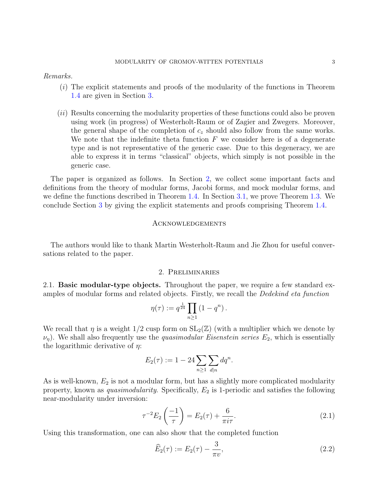Remarks.

- (i) The explicit statements and proofs of the modularity of the functions in Theorem [1.4](#page-1-2) are given in Section [3.](#page-6-1)
- (ii) Results concerning the modularity properties of these functions could also be proven using work (in progress) of Westerholt-Raum or of Zagier and Zwegers. Moreover, the general shape of the completion of  $c_z$  should also follow from the same works. We note that the indefinite theta function  $F$  we consider here is of a degenerate type and is not representative of the generic case. Due to this degeneracy, we are able to express it in terms "classical" objects, which simply is not possible in the generic case.

The paper is organized as follows. In Section [2,](#page-2-0) we collect some important facts and definitions from the theory of modular forms, Jacobi forms, and mock modular forms, and we define the functions described in Theorem [1.4.](#page-1-2) In Section [3.1,](#page-6-2) we prove Theorem [1.3.](#page-1-3) We conclude Section [3](#page-6-1) by giving the explicit statements and proofs comprising Theorem [1.4.](#page-1-2)

#### Acknowledgements

The authors would like to thank Martin Westerholt-Raum and Jie Zhou for useful conversations related to the paper.

### 2. Preliminaries

<span id="page-2-0"></span>2.1. **Basic modular-type objects.** Throughout the paper, we require a few standard examples of modular forms and related objects. Firstly, we recall the Dedekind eta function

$$
\eta(\tau) := q^{\frac{1}{24}} \prod_{n \ge 1} (1 - q^n).
$$

We recall that  $\eta$  is a weight  $1/2$  cusp form on  $SL_2(\mathbb{Z})$  (with a multiplier which we denote by  $\nu_{\eta}$ ). We shall also frequently use the *quasimodular Eisenstein series*  $E_2$ , which is essentially the logarithmic derivative of  $\eta$ :

$$
E_2(\tau) := 1 - 24 \sum_{n \ge 1} \sum_{d|n} dq^n.
$$

As is well-known,  $E_2$  is not a modular form, but has a slightly more complicated modularity property, known as *quasimodularity*. Specifically,  $E_2$  is 1-periodic and satisfies the following near-modularity under inversion:

<span id="page-2-2"></span>
$$
\tau^{-2} E_2\left(\frac{-1}{\tau}\right) = E_2(\tau) + \frac{6}{\pi i \tau}.
$$
\n(2.1)

Using this transformation, one can also show that the completed function

<span id="page-2-1"></span>
$$
\widehat{E}_2(\tau) := E_2(\tau) - \frac{3}{\pi v},
$$
\n(2.2)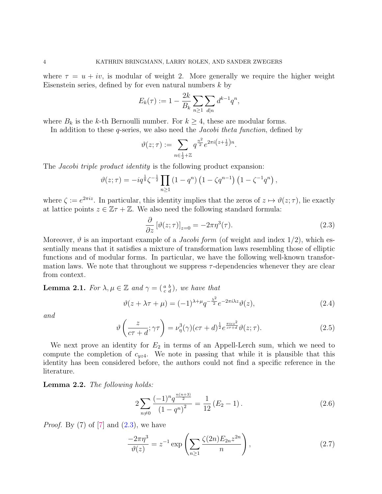where  $\tau = u + iv$ , is modular of weight 2. More generally we require the higher weight Eisenstein series, defined by for even natural numbers  $k$  by

$$
E_k(\tau) := 1 - \frac{2k}{B_k} \sum_{n \ge 1} \sum_{d|n} d^{k-1} q^n,
$$

where  $B_k$  is the k-th Bernoulli number. For  $k \geq 4$ , these are modular forms.

In addition to these q-series, we also need the *Jacobi theta function*, defined by

$$
\vartheta(z;\tau) := \sum_{n \in \frac{1}{2} + \mathbb{Z}} q^{\frac{n^2}{2}} e^{2\pi i \left(z + \frac{1}{2}\right)n}.
$$

The *Jacobi triple product identity* is the following product expansion:

$$
\vartheta(z;\tau) = -iq^{\frac{1}{8}}\zeta^{-\frac{1}{2}}\prod_{n\geq 1} (1-q^n)\left(1-\zeta q^{n-1}\right)\left(1-\zeta^{-1}q^n\right),\,
$$

where  $\zeta := e^{2\pi i z}$ . In particular, this identity implies that the zeros of  $z \mapsto \vartheta(z; \tau)$ , lie exactly at lattice points  $z \in \mathbb{Z}\tau + \mathbb{Z}$ . We also need the following standard formula:

<span id="page-3-0"></span>
$$
\frac{\partial}{\partial z} \left[ \vartheta(z; \tau) \right]_{z=0} = -2\pi \eta^3(\tau). \tag{2.3}
$$

Moreover,  $\vartheta$  is an important example of a *Jacobi form* (of weight and index 1/2), which essentially means that it satisfies a mixture of transformation laws resembling those of elliptic functions and of modular forms. In particular, we have the following well-known transformation laws. We note that throughout we suppress  $\tau$ -dependencies whenever they are clear from context.

<span id="page-3-3"></span>**Lemma 2.1.** For  $\lambda, \mu \in \mathbb{Z}$  and  $\gamma = \begin{pmatrix} a & b \\ c & d \end{pmatrix}$ , we have that

<span id="page-3-2"></span>
$$
\vartheta(z + \lambda \tau + \mu) = (-1)^{\lambda + \mu} q^{-\frac{\lambda^2}{2}} e^{-2\pi i \lambda z} \vartheta(z), \tag{2.4}
$$

and

<span id="page-3-6"></span>
$$
\vartheta\left(\frac{z}{c\tau+d};\gamma\tau\right) = \nu_{\eta}^{3}(\gamma)(c\tau+d)^{\frac{1}{2}}e^{\frac{\pi i c z^{2}}{c\tau+d}}\vartheta(z;\tau).
$$
\n(2.5)

We next prove an identity for  $E_2$  in terms of an Appell-Lerch sum, which we need to compute the completion of  $c_{yz4}$ . We note in passing that while it is plausible that this identity has been considered before, the authors could not find a specific reference in the literature.

<span id="page-3-4"></span>Lemma 2.2. The following holds:

<span id="page-3-1"></span>
$$
2\sum_{n\neq 0} \frac{(-1)^n q^{\frac{n(n+3)}{2}}}{(1-q^n)^2} = \frac{1}{12} \left( E_2 - 1 \right). \tag{2.6}
$$

*Proof.* By  $(7)$  of  $[7]$  and  $(2.3)$ , we have

<span id="page-3-5"></span>
$$
\frac{-2\pi\eta^3}{\vartheta(z)} = z^{-1} \exp\left(\sum_{n\geq 1} \frac{\zeta(2n) E_{2n} z^{2n}}{n}\right),\tag{2.7}
$$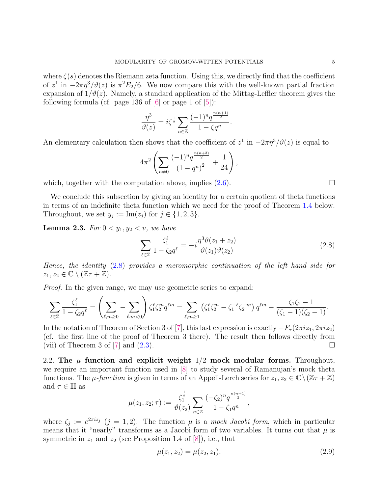where  $\zeta(s)$  denotes the Riemann zeta function. Using this, we directly find that the coefficient of  $z^1$  in  $-2\pi\eta^3/\vartheta(z)$  is  $\pi^2E_2/6$ . We now compare this with the well-known partial fraction expansion of  $1/\vartheta(z)$ . Namely, a standard application of the Mittag-Leffler theorem gives the following formula (cf. page 136 of  $[6]$  or page 1 of  $[5]$ ):

$$
\frac{\eta^3}{\vartheta(z)} = i\zeta^{\frac{1}{2}} \sum_{n \in \mathbb{Z}} \frac{(-1)^n q^{\frac{n(n+1)}{2}}}{1 - \zeta q^n}.
$$

An elementary calculation then shows that the coefficient of  $z^1$  in  $-2\pi\eta^3/\vartheta(z)$  is equal to

$$
4\pi^2 \left( \sum_{n\neq 0} \frac{(-1)^n q^{\frac{n(n+3)}{2}}}{\left(1-q^n\right)^2} + \frac{1}{24} \right),
$$

which, together with the computation above, implies  $(2.6)$ .

We conclude this subsection by giving an identity for a certain quotient of theta functions in terms of an indefinite theta function which we need for the proof of Theorem [1.4](#page-1-2) below. Throughout, we set  $y_j := \text{Im}(z_j)$  for  $j \in \{1, 2, 3\}.$ 

<span id="page-4-2"></span>**Lemma 2.3.** For  $0 < y_1, y_2 < v$ , we have

<span id="page-4-0"></span>
$$
\sum_{\ell \in \mathbb{Z}} \frac{\zeta_1^{\ell}}{1 - \zeta_2 q^{\ell}} = -i \frac{\eta^3 \vartheta(z_1 + z_2)}{\vartheta(z_1)\vartheta(z_2)}.
$$
\n(2.8)

Hence, the identity [\(2.8\)](#page-4-0) provides a meromorphic continuation of the left hand side for  $z_1, z_2 \in \mathbb{C} \setminus (\mathbb{Z}\tau + \mathbb{Z}).$ 

Proof. In the given range, we may use geometric series to expand:

$$
\sum_{\ell \in \mathbb{Z}} \frac{\zeta_1^{\ell}}{1 - \zeta_2 q^{\ell}} = \left( \sum_{\ell, m \ge 0} - \sum_{\ell, m < 0} \right) \zeta_1^{\ell} \zeta_2^m q^{\ell m} = \sum_{\ell, m \ge 1} \left( \zeta_1^{\ell} \zeta_2^m - \zeta_1^{-\ell} \zeta_2^{-m} \right) q^{\ell m} - \frac{\zeta_1 \zeta_2 - 1}{(\zeta_1 - 1)(\zeta_2 - 1)}.
$$

In the notation of Theorem of Section 3 of [\[7\]](#page-14-3), this last expression is exactly  $-F_\tau(2\pi i z_1, 2\pi i z_2)$ (cf. the first line of the proof of Theorem 3 there). The result then follows directly from (vii) of Theorem 3 of [\[7\]](#page-14-3) and  $(2.3)$ .

2.2. The  $\mu$  function and explicit weight  $1/2$  mock modular forms. Throughout, we require an important function used in [\[8\]](#page-14-6) to study several of Ramanujan's mock theta functions. The  $\mu$ -function is given in terms of an Appell-Lerch series for  $z_1, z_2 \in \mathbb{C} \setminus (\mathbb{Z} + \mathbb{Z})$ and  $\tau \in \mathbb{H}$  as

$$
\mu(z_1, z_2; \tau) := \frac{\zeta_1^{\frac{1}{2}}}{\vartheta(z_2)} \sum_{n \in \mathbb{Z}} \frac{(-\zeta_2)^n q^{\frac{n(n+1)}{2}}}{1 - \zeta_1 q^n},
$$

where  $\zeta_j := e^{2\pi i z_j}$   $(j = 1, 2)$ . The function  $\mu$  is a mock Jacobi form, which in particular means that it "nearly" transforms as a Jacobi form of two variables. It turns out that  $\mu$  is symmetric in  $z_1$  and  $z_2$  (see Proposition 1.4 of [\[8\]](#page-14-6)), i.e., that

<span id="page-4-1"></span>
$$
\mu(z_1, z_2) = \mu(z_2, z_1),\tag{2.9}
$$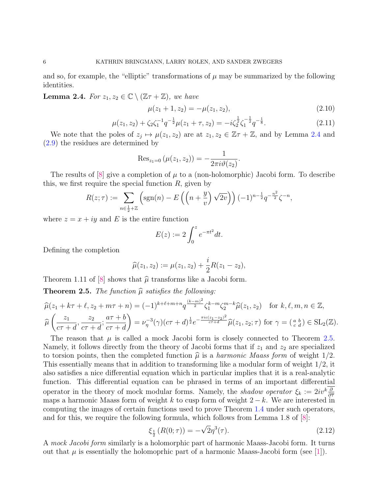and so, for example, the "elliptic" transformations of  $\mu$  may be summarized by the following identities.

<span id="page-5-0"></span>**Lemma 2.4.** For  $z_1, z_2 \in \mathbb{C} \setminus (\mathbb{Z}\tau + \mathbb{Z})$ , we have

$$
\mu(z_1 + 1, z_2) = -\mu(z_1, z_2),\tag{2.10}
$$

.

<span id="page-5-2"></span>
$$
\mu(z_1, z_2) + \zeta_2 \zeta_1^{-1} q^{-\frac{1}{2}} \mu(z_1 + \tau, z_2) = -i \zeta_2^{\frac{1}{2}} \zeta_1^{-\frac{1}{2}} q^{-\frac{1}{8}}.
$$
\n(2.11)

We note that the poles of  $z_j \mapsto \mu(z_1, z_2)$  are at  $z_1, z_2 \in \mathbb{Z}\tau + \mathbb{Z}$ , and by Lemma [2.4](#page-5-0) and [\(2.9\)](#page-4-1) the residues are determined by

$$
\operatorname{Res}_{z_1=0}(\mu(z_1, z_2)) = -\frac{1}{2\pi i \vartheta(z_2)}
$$

The results of  $[8]$  give a completion of  $\mu$  to a (non-holomorphic) Jacobi form. To describe this, we first require the special function  $R$ , given by

$$
R(z;\tau) := \sum_{n \in \frac{1}{2} + \mathbb{Z}} \left( \text{sgn}(n) - E\left( \left( n + \frac{y}{v} \right) \sqrt{2v} \right) \right) (-1)^{n - \frac{1}{2}} q^{-\frac{n^2}{2}} \zeta^{-n},
$$

where  $z = x + iy$  and E is the entire function

$$
E(z) := 2 \int_0^z e^{-\pi t^2} dt.
$$

Defining the completion

$$
\widehat{\mu}(z_1, z_2) := \mu(z_1, z_2) + \frac{i}{2}R(z_1 - z_2),
$$

Theorem 1.11 of [\[8\]](#page-14-6) shows that  $\hat{\mu}$  transforms like a Jacobi form.

<span id="page-5-1"></span>**Theorem 2.5.** The function  $\widehat{\mu}$  satisfies the following:

$$
\widehat{\mu}(z_1 + k\tau + \ell, z_2 + m\tau + n) = (-1)^{k+\ell+m+n} q^{\frac{(k-m)^2}{2}} \zeta_1^{k-m} \zeta_2^{m-k} \widehat{\mu}(z_1, z_2) \quad \text{for } k, \ell, m, n \in \mathbb{Z},
$$
  

$$
\widehat{\mu}\left(\frac{z_1}{c\tau + d}, \frac{z_2}{c\tau + d}; \frac{a\tau + b}{c\tau + d}\right) = \nu_{\eta}^{-3}(\gamma)(c\tau + d)^{\frac{1}{2}} e^{-\frac{\pi ic(z_1 - z_2)^2}{c\tau + d}} \widehat{\mu}(z_1, z_2; \tau) \text{ for } \gamma = \left(\frac{a}{c} \frac{b}{d}\right) \in SL_2(\mathbb{Z}).
$$

The reason that  $\mu$  is called a mock Jacobi form is closely connected to Theorem [2.5.](#page-5-1) Namely, it follows directly from the theory of Jacobi forms that if  $z_1$  and  $z_2$  are specialized to torsion points, then the completed function  $\hat{\mu}$  is a *harmonic Maass form* of weight 1/2. This essentially means that in addition to transforming like a modular form of weight 1/2, it also satisfies a nice differential equation which in particular implies that it is a real-analytic function. This differential equation can be phrased in terms of an important differential operator in the theory of mock modular forms. Namely, the *shadow operator*  $\xi_k := 2iv^k \frac{\partial}{\partial \tau}$ maps a harmonic Maass form of weight k to cusp form of weight  $2 - k$ . We are interested in computing the images of certain functions used to prove Theorem [1.4](#page-1-2) under such operators, and for this, we require the following formula, which follows from Lemma 1.8 of [\[8\]](#page-14-6):

<span id="page-5-3"></span>
$$
\xi_{\frac{1}{2}}(R(0;\tau)) = -\sqrt{2}\eta^3(\tau). \tag{2.12}
$$

A mock Jacobi form similarly is a holomorphic part of harmonic Maass-Jacobi form. It turns out that  $\mu$  is essentially the holomoprhic part of a harmonic Maass-Jacobi form (see [\[1\]](#page-14-7)).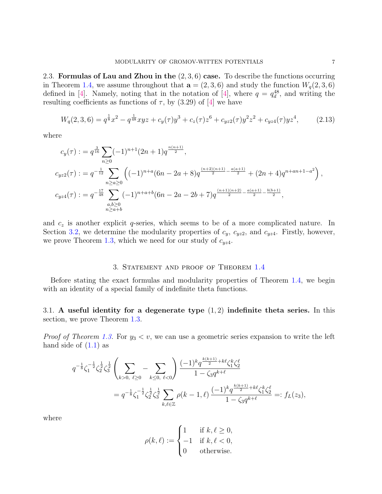2.3. Formulas of Lau and Zhou in the  $(2,3,6)$  case. To describe the functions occurring in Theorem [1.4,](#page-1-2) we assume throughout that  $\mathbf{a} = (2, 3, 6)$  and study the function  $W_q(2, 3, 6)$ defined in [\[4\]](#page-14-0). Namely, noting that in the notation of [4], where  $q = q_d^{48}$ , and writing the resulting coefficients as functions of  $\tau$ , by (3.29) of [\[4\]](#page-14-0) we have

<span id="page-6-0"></span>
$$
W_q(2,3,6) = q^{\frac{1}{8}}x^2 - q^{\frac{1}{48}}xyz + c_y(\tau)y^3 + c_z(\tau)z^6 + c_{yz2}(\tau)y^2z^2 + c_{yz4}(\tau)yz^4, \qquad (2.13)
$$

where

$$
c_y(\tau) := q^{\frac{3}{16}} \sum_{n \ge 0} (-1)^{n+1} (2n+1) q^{\frac{n(n+1)}{2}},
$$
  
\n
$$
c_{yz2}(\tau) := q^{-\frac{1}{12}} \sum_{n \ge a \ge 0} \left( (-1)^{n+a} (6n-2a+8) q^{\frac{(n+2)(n+1)}{2} - \frac{a(a+1)}{2}} + (2n+4) q^{n+an+1-a^2} \right),
$$
  
\n
$$
c_{yz4}(\tau) := q^{-\frac{17}{48}} \sum_{\substack{a,b \ge 0 \\ n \ge a+b}} (-1)^{n+a+b} (6n-2a-2b+7) q^{\frac{(n+1)(n+2)}{2} - \frac{a(a+1)}{2} - \frac{b(b+1)}{2}},
$$

and  $c<sub>z</sub>$  is another explicit q-series, which seems to be of a more complicated nature. In Section [3.2,](#page-8-0) we determine the modularity properties of  $c_y$ ,  $c_{yz2}$ , and  $c_{yz4}$ . Firstly, however, we prove Theorem [1.3,](#page-1-3) which we need for our study of  $c_{yz4}$ .

# 3. STATEMENT AND PROOF OF THEOREM [1.4](#page-1-2)

<span id="page-6-1"></span>Before stating the exact formulas and modularity properties of Theorem [1.4,](#page-1-2) we begin with an identity of a special family of indefinite theta functions.

<span id="page-6-2"></span>3.1. A useful identity for a degenerate type  $(1, 2)$  indefinite theta series. In this section, we prove Theorem [1.3.](#page-1-3)

*Proof of Theorem [1.3.](#page-1-3)* For  $y_3 < v$ , we can use a geometric series expansion to write the left hand side of  $(1.1)$  as

$$
q^{-\frac{1}{8}}\zeta_1^{-\frac{1}{2}}\zeta_2^{\frac{1}{2}}\zeta_3^{\frac{1}{2}}\left(\sum_{k>0, \ell\geq 0}-\sum_{k\leq 0, \ell<0}\right)\frac{(-1)^k q^{\frac{k(k+1)}{2}+k\ell}\zeta_1^k\zeta_2^{\ell}}{1-\zeta_3 q^{k+\ell}} \\
= q^{-\frac{1}{8}}\zeta_1^{-\frac{1}{2}}\zeta_2^{\frac{1}{2}}\zeta_3^{\frac{1}{2}}\sum_{k,\ell\in\mathbb{Z}}\rho(k-1,\ell)\frac{(-1)^k q^{\frac{k(k+1)}{2}+k\ell}\zeta_1^k\zeta_2^{\ell}}{1-\zeta_3 q^{k+\ell}} =:f_L(z_3),
$$

where

$$
\rho(k,\ell) := \begin{cases} 1 & \text{if } k,\ell \ge 0, \\ -1 & \text{if } k,\ell < 0, \\ 0 & \text{otherwise.} \end{cases}
$$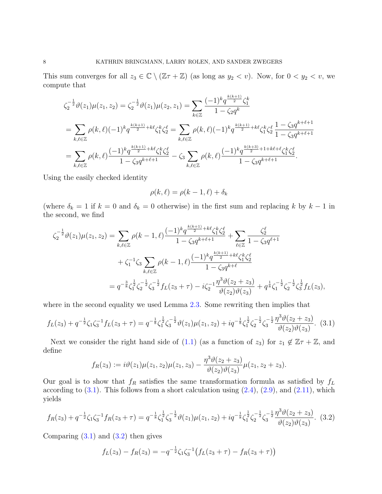This sum converges for all  $z_3 \in \mathbb{C} \setminus (\mathbb{Z} + \mathbb{Z})$  (as long as  $y_2 < v$ ). Now, for  $0 < y_2 < v$ , we compute that

$$
\zeta_{2}^{-\frac{1}{2}}\vartheta(z_{1})\mu(z_{1},z_{2}) = \zeta_{2}^{-\frac{1}{2}}\vartheta(z_{1})\mu(z_{2},z_{1}) = \sum_{k\in\mathbb{Z}}\frac{(-1)^{k}q^{\frac{k(k+1)}{2}}\zeta_{1}^{k}}{1-\zeta_{2}q^{k}}
$$
\n
$$
= \sum_{k,\ell\in\mathbb{Z}}\rho(k,\ell)(-1)^{k}q^{\frac{k(k+1)}{2}+k\ell}\zeta_{1}^{k}\zeta_{2}^{\ell} = \sum_{k,\ell\in\mathbb{Z}}\rho(k,\ell)(-1)^{k}q^{\frac{k(k+1)}{2}+k\ell}\zeta_{1}^{k}\zeta_{2}^{\ell}\frac{1-\zeta_{3}q^{k+\ell+1}}{1-\zeta_{3}q^{k+\ell+1}}
$$
\n
$$
= \sum_{k,\ell\in\mathbb{Z}}\rho(k,\ell)\frac{(-1)^{k}q^{\frac{k(k+1)}{2}+k\ell}\zeta_{1}^{k}\zeta_{2}^{\ell}}{1-\zeta_{3}q^{k+\ell+1}} - \zeta_{3}\sum_{k,\ell\in\mathbb{Z}}\rho(k,\ell)\frac{(-1)^{k}q^{\frac{k(k+3)}{2}+1+k\ell+\ell}\zeta_{1}^{k}\zeta_{2}^{\ell}}{1-\zeta_{3}q^{k+\ell+1}}.
$$

Using the easily checked identity

$$
\rho(k,\ell) = \rho(k-1,\ell) + \delta_k
$$

(where  $\delta_k = 1$  if  $k = 0$  and  $\delta_k = 0$  otherwise) in the first sum and replacing k by  $k - 1$  in the second, we find

$$
\zeta_{2}^{-\frac{1}{2}}\vartheta(z_{1})\mu(z_{1},z_{2}) = \sum_{k,\ell\in\mathbb{Z}} \rho(k-1,\ell) \frac{(-1)^{k}q^{\frac{k(k+1)}{2}+k\ell}\zeta_{1}^{k}\zeta_{2}^{\ell}}{1-\zeta_{3}q^{k+\ell+1}} + \sum_{\ell\in\mathbb{Z}} \frac{\zeta_{2}^{\ell}}{1-\zeta_{3}q^{\ell+1}} + \zeta_{1}^{-1}\zeta_{3} \sum_{k,\ell\in\mathbb{Z}} \rho(k-1,\ell) \frac{(-1)^{k}q^{\frac{k(k+1)}{2}+k\ell}\zeta_{1}^{k}\zeta_{2}^{\ell}}{1-\zeta_{3}q^{k+\ell}} - q^{-\frac{3}{8}}\zeta_{1}^{\frac{1}{2}}\zeta_{2}^{-\frac{1}{2}}\zeta_{3}^{-\frac{1}{2}}f_{L}(z_{3}+\tau) - i\zeta_{2}^{-1}\frac{\eta^{3}\vartheta(z_{2}+z_{3})}{\vartheta(z_{2})\vartheta(z_{3})} + q^{\frac{1}{8}}\zeta_{1}^{-\frac{1}{2}}\zeta_{2}^{-\frac{1}{2}}\zeta_{3}^{\frac{1}{2}}f_{L}(z_{3}),
$$

where in the second equality we used Lemma [2.3.](#page-4-2) Some rewriting then implies that

<span id="page-7-0"></span>
$$
f_L(z_3) + q^{-\frac{1}{2}} \zeta_1 \zeta_3^{-1} f_L(z_3 + \tau) = q^{-\frac{1}{8}} \zeta_1^{\frac{1}{2}} \zeta_3^{-\frac{1}{2}} \vartheta(z_1) \mu(z_1, z_2) + i q^{-\frac{1}{8}} \zeta_1^{\frac{1}{2}} \zeta_2^{-\frac{1}{2}} \zeta_3^{-\frac{1}{2}} \frac{\eta^3 \vartheta(z_2 + z_3)}{\vartheta(z_2) \vartheta(z_3)}.
$$
(3.1)

Next we consider the right hand side of [\(1.1\)](#page-1-1) (as a function of  $z_3$ ) for  $z_1 \notin \mathbb{Z} + \mathbb{Z}$ , and define

$$
f_R(z_3) := i\vartheta(z_1)\mu(z_1, z_2)\mu(z_1, z_3) - \frac{\eta^3\vartheta(z_2 + z_3)}{\vartheta(z_2)\vartheta(z_3)}\mu(z_1, z_2 + z_3).
$$

Our goal is to show that  $f_R$  satisfies the same transformation formula as satisfied by  $f_L$ according to  $(3.1)$ . This follows from a short calculation using  $(2.4)$ ,  $(2.9)$ , and  $(2.11)$ , which yields

<span id="page-7-1"></span>
$$
f_R(z_3) + q^{-\frac{1}{2}}\zeta_1\zeta_3^{-1}f_R(z_3 + \tau) = q^{-\frac{1}{8}}\zeta_1^{\frac{1}{2}}\zeta_3^{-\frac{1}{2}}\vartheta(z_1)\mu(z_1, z_2) + iq^{-\frac{1}{8}}\zeta_1^{\frac{1}{2}}\zeta_2^{-\frac{1}{2}}\zeta_3^{-\frac{1}{2}}\frac{\eta^3\vartheta(z_2 + z_3)}{\vartheta(z_2)\vartheta(z_3)}.
$$
(3.2)

Comparing  $(3.1)$  and  $(3.2)$  then gives

$$
f_L(z_3) - f_R(z_3) = -q^{-\frac{1}{2}} \zeta_1 \zeta_3^{-1} \big( f_L(z_3 + \tau) - f_R(z_3 + \tau) \big)
$$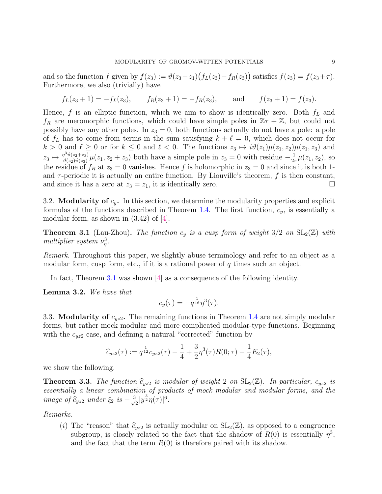and so the function f given by  $f(z_3) := \vartheta(z_3 - z_1)(f_L(z_3) - f_R(z_3))$  satisfies  $f(z_3) = f(z_3 + \tau)$ . Furthermore, we also (trivially) have

$$
f_L(z_3 + 1) = -f_L(z_3),
$$
  $f_R(z_3 + 1) = -f_R(z_3),$  and  $f(z_3 + 1) = f(z_3).$ 

Hence,  $f$  is an elliptic function, which we aim to show is identically zero. Both  $f_L$  and  $f_R$  are meromorphic functions, which could have simple poles in  $\mathbb{Z}\tau + \mathbb{Z}$ , but could not possibly have any other poles. In  $z_3 = 0$ , both functions actually do not have a pole: a pole of  $f_L$  has to come from terms in the sum satisfying  $k + \ell = 0$ , which does not occur for  $k > 0$  and  $\ell \geq 0$  or for  $k \leq 0$  and  $\ell < 0$ . The functions  $z_3 \mapsto i\vartheta(z_1)\mu(z_1, z_2)\mu(z_1, z_3)$  and  $z_3 \mapsto \frac{\eta^3 \vartheta(z_2+z_3)}{\vartheta(z_2)\vartheta(z_2)}$  $\frac{\partial^3 \vartheta(z_2+z_3)}{\partial(z_2)\vartheta(z_3)} \mu(z_1, z_2+z_3)$  both have a simple pole in  $z_3=0$  with residue  $-\frac{1}{2i}$  $\frac{1}{2\pi}\mu(z_1, z_2)$ , so the residue of  $f_R$  at  $z_3 = 0$  vanishes. Hence f is holomorphic in  $z_3 = 0$  and since it is both 1and  $\tau$ -periodic it is actually an entire function. By Liouville's theorem, f is then constant, and since it has a zero at  $z_3 = z_1$ , it is identically zero.

<span id="page-8-0"></span>3.2. **Modularity of**  $c_y$ . In this section, we determine the modularity properties and explicit formulas of the functions described in Theorem [1.4.](#page-1-2) The first function,  $c_y$ , is essentially a modular form, as shown in  $(3.42)$  of  $|4|$ .

<span id="page-8-1"></span>**Theorem 3.1** (Lau-Zhou). The function  $c_y$  is a cusp form of weight  $3/2$  on  $SL_2(\mathbb{Z})$  with multiplier system  $\nu_{\eta}^3$ .

Remark. Throughout this paper, we slightly abuse terminology and refer to an object as a modular form, cusp form, etc., if it is a rational power of  $q$  times such an object.

In fact, Theorem [3.1](#page-8-1) was shown [\[4\]](#page-14-0) as a consequence of the following identity.

Lemma 3.2. We have that

$$
c_y(\tau) = -q^{\frac{1}{16}}\eta^3(\tau).
$$

3.3. Modularity of  $c_{yz2}$ . The remaining functions in Theorem [1.4](#page-1-2) are not simply modular forms, but rather mock modular and more complicated modular-type functions. Beginning with the  $c_{yz2}$  case, and defining a natural "corrected" function by

$$
\widehat{c}_{yz2}(\tau) := q^{\frac{1}{12}}c_{yz2}(\tau) - \frac{1}{4} + \frac{3}{2}\eta^3(\tau)R(0;\tau) - \frac{1}{4}E_2(\tau),
$$

we show the following.

<span id="page-8-2"></span>**Theorem 3.3.** The function  $\hat{c}_{yz2}$  is modular of weight 2 on  $SL_2(\mathbb{Z})$ . In particular,  $c_{yz2}$  is essentially a linear combination of products of mock modular and modular forms, and the image of  $\widehat{c}_{yz2}$  under  $\xi_2$  is  $-\frac{3}{\sqrt{2}}$  $\frac{1}{2}|y^{\frac{3}{2}}\eta(\tau)|^{6}.$ 

Remarks.

(i) The "reason" that  $\hat{c}_{yz2}$  is actually modular on  $SL_2(\mathbb{Z})$ , as opposed to a congruence subgroup, is closely related to the fact that the shadow of  $R(0)$  is essentially  $\eta^3$ , and the fact that the term  $R(0)$  is therefore paired with its shadow.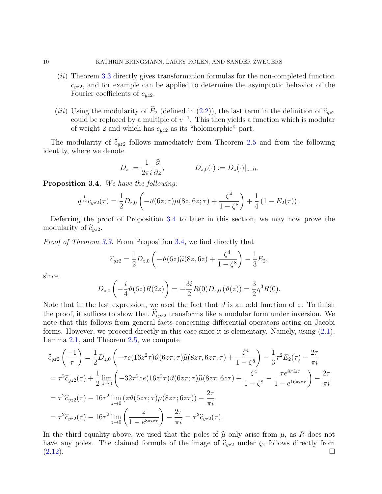- (ii) Theorem [3.3](#page-8-2) directly gives transformation formulas for the non-completed function  $c_{yz2}$ , and for example can be applied to determine the asymptotic behavior of the Fourier coefficients of  $c_{yz2}$ .
- (iii) Using the modularity of  $\widehat{E}_2$  (defined in [\(2.2\)](#page-2-1)), the last term in the definition of  $\widehat{c}_{yz2}$ could be replaced by a multiple of  $v^{-1}$ . This then yields a function which is modular of weight 2 and which has  $c_{yz2}$  as its "holomorphic" part.

The modularity of  $\hat{c}_{yz2}$  follows immediately from Theorem [2.5](#page-5-1) and from the following identity, where we denote

$$
D_z := \frac{1}{2\pi i} \frac{\partial}{\partial z}, \qquad D_{z,0}(\cdot) := D_z(\cdot)|_{z=0}.
$$

<span id="page-9-0"></span>Proposition 3.4. We have the following:

$$
q^{\frac{1}{12}}c_{yz2}(\tau) = \frac{1}{2}D_{z,0}\left(-\vartheta(6z;\tau)\mu(8z,6z;\tau) + \frac{\zeta^4}{1-\zeta^8}\right) + \frac{1}{4}\left(1 - E_2(\tau)\right).
$$

Deferring the proof of Proposition [3.4](#page-9-0) to later in this section, we may now prove the modularity of  $\widehat{c}_{yz2}$ .

Proof of Theorem [3.3.](#page-8-2) From Proposition [3.4,](#page-9-0) we find directly that

$$
\widehat{c}_{yz2} = \frac{1}{2}D_{z,0}\left(-\vartheta(6z)\widehat{\mu}(8z,6z) + \frac{\zeta^4}{1-\zeta^8}\right) - \frac{1}{3}E_2,
$$

since

$$
D_{z,0}\left(-\frac{i}{4}\theta(6z)R(2z)\right) = -\frac{3i}{2}R(0)D_{z,0}(\theta(z)) = \frac{3}{2}\eta^{3}R(0).
$$

Note that in the last expression, we used the fact that  $\vartheta$  is an odd function of z. To finish the proof, it suffices to show that  $F_{cyz2}$  transforms like a modular form under inversion. We note that this follows from general facts concerning differential operators acting on Jacobi forms. However, we proceed directly in this case since it is elementary. Namely, using  $(2.1)$ , Lemma [2.1,](#page-3-3) and Theorem [2.5,](#page-5-1) we compute

$$
\begin{split}\n\widehat{c}_{yz2}\left(\frac{-1}{\tau}\right) &= \frac{1}{2}D_{z,0}\left(-\tau e(16z^2\tau)\vartheta(6z\tau;\tau)\widehat{\mu}(8z\tau,6z\tau;\tau) + \frac{\zeta^4}{1-\zeta^8}\right) - \frac{1}{3}\tau^2 E_2(\tau) - \frac{2\tau}{\pi i} \\
&= \tau^2 \widehat{c}_{yz2}(\tau) + \frac{1}{2}\lim_{z \to 0} \left(-32\tau^2 ze(16z^2\tau)\vartheta(6z\tau;\tau)\widehat{\mu}(8z\tau;6z\tau) + \frac{\zeta^4}{1-\zeta^8} - \frac{\tau e^{8\pi iz\tau}}{1-e^{16\pi iz\tau}}\right) - \frac{2\tau}{\pi i} \\
&= \tau^2 \widehat{c}_{yz2}(\tau) - 16\tau^2 \lim_{z \to 0} \left(z\vartheta(6z\tau;\tau)\mu(8z\tau;6z\tau)\right) - \frac{2\tau}{\pi i} \\
&= \tau^2 \widehat{c}_{yz2}(\tau) - 16\tau^2 \lim_{z \to 0} \left(\frac{z}{1-e^{8\pi iz\tau}}\right) - \frac{2\tau}{\pi i} = \tau^2 \widehat{c}_{yz2}(\tau).\n\end{split}
$$

In the third equality above, we used that the poles of  $\hat{\mu}$  only arise from  $\mu$ , as R does not have any poles. The claimed formula of the image of  $\hat{c}_{yz2}$  under  $\xi_2$  follows directly from [\(2.12\)](#page-5-3).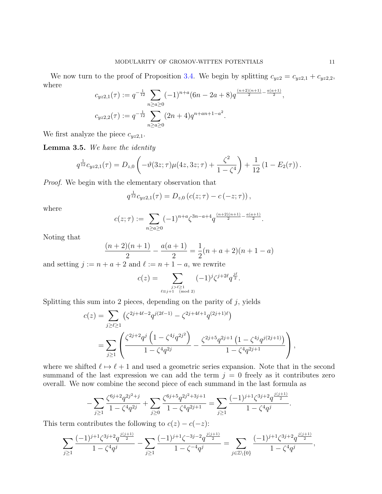We now turn to the proof of Proposition [3.4.](#page-9-0) We begin by splitting  $c_{yz2} = c_{yz2,1} + c_{yz2,2}$ , where

$$
c_{yz2,1}(\tau) := q^{-\frac{1}{12}} \sum_{n \ge a \ge 0} (-1)^{n+a} (6n - 2a + 8) q^{\frac{(n+2)(n+1)}{2} - \frac{a(a+1)}{2}},
$$
  

$$
c_{yz2,2}(\tau) := q^{-\frac{1}{12}} \sum_{n \ge a \ge 0} (2n+4) q^{n+an+1-a^2}.
$$

We first analyze the piece  $c_{yz2,1}$ .

<span id="page-10-0"></span>Lemma 3.5. We have the identity

$$
q^{\frac{1}{12}}c_{yz2,1}(\tau) = D_{z,0}\left(-\vartheta(3z;\tau)\mu(4z,3z;\tau) + \frac{\zeta^2}{1-\zeta^4}\right) + \frac{1}{12}\left(1 - E_2(\tau)\right).
$$

Proof. We begin with the elementary observation that

$$
q^{\frac{1}{12}}c_{yz2,1}(\tau) = D_{z,0} (c(z;\tau) - c(-z;\tau)),
$$

where

$$
c(z;\tau) := \sum_{n \geq a \geq 0} (-1)^{n+a} \zeta^{3n-a+4} q^{\frac{(n+2)(n+1)}{2} - \frac{a(a+1)}{2}}.
$$

Noting that

$$
\frac{(n+2)(n+1)}{2} - \frac{a(a+1)}{2} = \frac{1}{2}(n+a+2)(n+1-a)
$$

and setting  $j := n + a + 2$  and  $\ell := n + 1 - a$ , we rewrite

$$
c(z) = \sum_{\substack{j > \ell \ge 1 \\ \ell \equiv j+1 \pmod{2}}} (-1)^j \zeta^{j+2\ell} q^{\frac{j\ell}{2}}.
$$

Splitting this sum into 2 pieces, depending on the parity of  $j$ , yields

$$
c(z) = \sum_{j \ge \ell \ge 1} \left( \zeta^{2j+4\ell-2} q^{j(2\ell-1)} - \zeta^{2j+4\ell+1} q^{(2j+1)\ell} \right)
$$
  
= 
$$
\sum_{j \ge 1} \left( \frac{\zeta^{2j+2} q^j \left( 1 - \zeta^{4j} q^{2j^2} \right)}{1 - \zeta^4 q^{2j}} - \frac{\zeta^{2j+5} q^{2j+1} \left( 1 - \zeta^{4j} q^{j(2j+1)} \right)}{1 - \zeta^4 q^{2j+1}} \right),
$$

where we shifted  $\ell \mapsto \ell + 1$  and used a geometric series expansion. Note that in the second summand of the last expression we can add the term  $j = 0$  freely as it contributes zero overall. We now combine the second piece of each summand in the last formula as

$$
-\sum_{j\geq 1}\frac{\zeta^{6j+2}q^{2j^2+j}}{1-\zeta^4q^{2j}}+\sum_{j\geq 0}\frac{\zeta^{6j+5}q^{2j^2+3j+1}}{1-\zeta^4q^{2j+1}}=\sum_{j\geq 1}\frac{(-1)^{j+1}\zeta^{3j+2}q^{\frac{j(j+1)}{2}}}{1-\zeta^4q^j}.
$$

This term contributes the following to  $c(z) - c(-z)$ :

$$
\sum_{j\geq 1}\frac{(-1)^{j+1}\zeta^{3j+2}q^{\frac{j(j+1)}{2}}}{1-\zeta^4q^j}-\sum_{j\geq 1}\frac{(-1)^{j+1}\zeta^{-3j-2}q^{\frac{j(j+1)}{2}}}{1-\zeta^{-4}q^j}=\sum_{j\in\mathbb{Z}\backslash\{0\}}\frac{(-1)^{j+1}\zeta^{3j+2}q^{\frac{j(j+1)}{2}}}{1-\zeta^4q^j},
$$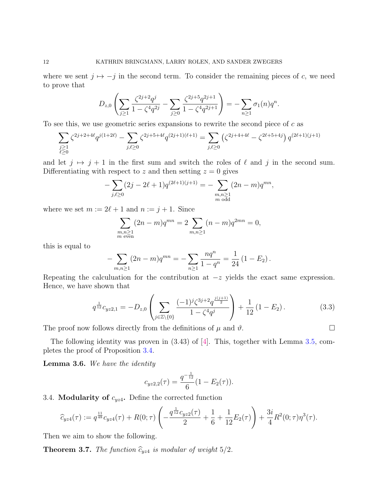where we sent  $j \mapsto -j$  in the second term. To consider the remaining pieces of c, we need to prove that

$$
D_{z,0}\left(\sum_{j\geq 1}\frac{\zeta^{2j+2}q^j}{1-\zeta^4q^{2j}}-\sum_{j\geq 0}\frac{\zeta^{2j+5}q^{2j+1}}{1-\zeta^4q^{2j+1}}\right)=-\sum_{n\geq 1}\sigma_1(n)q^n.
$$

To see this, we use geometric series expansions to rewrite the second piece of  $c$  as

$$
\sum_{\substack{j\geq 1\\ \ell\geq 0}}\zeta^{2j+2+4\ell}q^{j(1+2\ell)}-\sum_{j,\ell\geq 0}\zeta^{2j+5+4\ell}q^{(2j+1)(\ell+1)}=\sum_{j,\ell\geq 0}\left(\zeta^{2j+4+4\ell}-\zeta^{2\ell+5+4j}\right)q^{(2\ell+1)(j+1)}
$$

and let  $j \mapsto j + 1$  in the first sum and switch the roles of  $\ell$  and j in the second sum. Differentiating with respect to z and then setting  $z = 0$  gives

$$
-\sum_{j,\ell\geq 0} (2j - 2\ell + 1)q^{(2\ell+1)(j+1)} = -\sum_{\substack{m,n\geq 1\\ m \text{ odd}}} (2n - m)q^{mn},
$$

where we set  $m := 2\ell + 1$  and  $n := j + 1$ . Since

$$
\sum_{\substack{m,n \geq 1 \\ m \text{ even}}} (2n-m)q^{mn} = 2 \sum_{m,n \geq 1} (n-m)q^{2mn} = 0,
$$

this is equal to

$$
-\sum_{m,n\geq 1} (2n-m)q^{mn} = -\sum_{n\geq 1} \frac{nq^n}{1-q^n} = \frac{1}{24} (1 - E_2).
$$

Repeating the calculuation for the contribution at  $-z$  yields the exact same expression. Hence, we have shown that

<span id="page-11-1"></span>
$$
q^{\frac{1}{12}}c_{yz2,1} = -D_{z,0} \left( \sum_{j \in \mathbb{Z} \setminus \{0\}} \frac{(-1)^j \zeta^{3j+2} q^{\frac{j(j+1)}{2}}}{1 - \zeta^4 q^j} \right) + \frac{1}{12} (1 - E_2).
$$
 (3.3)

The proof now follows directly from the definitions of  $\mu$  and  $\vartheta$ .

The following identity was proven in  $(3.43)$  of [\[4\]](#page-14-0). This, together with Lemma [3.5,](#page-10-0) completes the proof of Proposition [3.4.](#page-9-0)

<span id="page-11-2"></span>**Lemma 3.6.** We have the identity

$$
c_{yz2,2}(\tau) = \frac{q^{-\frac{1}{12}}}{6}(1 - E_2(\tau)).
$$

3.4. **Modularity of**  $c_{yz4}$ . Define the corrected function

$$
\widehat{c}_{yz4}(\tau) := q^{\frac{11}{48}}c_{yz4}(\tau) + R(0;\tau)\left(-\frac{q^{\frac{1}{12}}c_{yz2}(\tau)}{2} + \frac{1}{6} + \frac{1}{12}E_2(\tau)\right) + \frac{3i}{4}R^2(0;\tau)\eta^3(\tau).
$$

Then we aim to show the following.

<span id="page-11-0"></span>**Theorem 3.7.** The function  $\hat{c}_{yz4}$  is modular of weight  $5/2$ .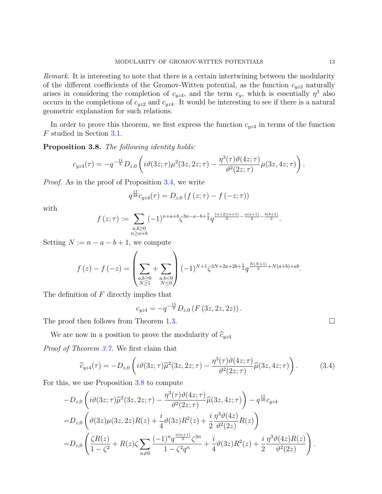Remark. It is interesting to note that there is a certain intertwining between the modularity of the different coefficients of the Gromov-Witten potential, as the function  $c_{yz2}$  naturally arises in considering the completion of  $c_{yz4}$ , and the term  $c_y$ , which is essentially  $\eta^3$  also occurs in the completions of  $c_{yz2}$  and  $c_{yz4}$ . It would be interesting to see if there is a natural geometric explanation for such relations.

In order to prove this theorem, we first express the function  $c_{yz4}$  in terms of the function F studied in Section [3.1.](#page-6-2)

<span id="page-12-0"></span>Proposition 3.8. The following identity holds:

$$
c_{yz4}(\tau) = -q^{-\frac{11}{8}}D_{z,0}\left(i\vartheta(3z;\tau)\mu^{2}(3z,2z;\tau) - \frac{\eta^{3}(\tau)\vartheta(4z;\tau)}{\vartheta^{2}(2z;\tau)}\mu(3z,4z;\tau)\right).
$$

Proof. As in the proof of Proposition [3.4,](#page-9-0) we write

$$
q^{\frac{17}{48}}c_{yz4}(\tau) = D_{z,0} (f(z;\tau) - f(-z;\tau))
$$

with

$$
f(z;\tau) := \sum_{\substack{a,b \geq 0 \\ n \geq a+b}} (-1)^{n+a+b} \zeta^{3n-a-b+\frac{7}{2}} q^{\frac{(n+2)(n+1)}{2} - \frac{a(a+1)}{2} - \frac{b(b+1)}{2}}.
$$

Setting  $N := n - a - b + 1$ , we compute

$$
f(z) - f(-z) = \left(\sum_{\substack{a,b \ge 0 \\ N \ge 1}} + \sum_{\substack{a,b < 0 \\ N \le 0}} \right) (-1)^{N+1} \zeta^{3N+2a+2b+\frac{1}{2}} q^{\frac{N(N+1)}{2} + N(a+b) + ab}.
$$

The definition of  $F$  directly implies that

$$
c_{yz4} = -q^{-\frac{11}{8}} D_{z,0} (F (3z, 2z, 2z)).
$$

The proof then follows from Theorem [1.3.](#page-1-3)

We are now in a position to prove the modularity of  $\widehat{c}_{yz4}$ 

Proof of Theorem [3.7.](#page-11-0) We first claim that

<span id="page-12-1"></span>
$$
\widehat{c}_{yz4}(\tau) = -D_{z,0} \left( i\vartheta(3z;\tau)\widehat{\mu}^2(3z,2z;\tau) - \frac{\eta^3(\tau)\vartheta(4z;\tau)}{\vartheta^2(2z;\tau)} \widehat{\mu}(3z,4z;\tau) \right). \tag{3.4}
$$

For this, we use Proposition [3.8](#page-12-0) to compute

$$
-D_{z,0}\left(i\vartheta(3z;\tau)\widehat{\mu}^{2}(3z,2z;\tau) - \frac{\eta^{3}(\tau)\vartheta(4z;\tau)}{\vartheta^{2}(2z;\tau)}\widehat{\mu}(3z,4z;\tau)\right) - q^{\frac{11}{48}}c_{yz4}
$$
  
=
$$
D_{z,0}\left(\vartheta(3z)\mu(3z,2z)R(z) + \frac{i}{4}\vartheta(3z)R^{2}(z) + \frac{i}{2}\frac{\eta^{3}\vartheta(4z)}{\vartheta^{2}(2z)}R(z)\right)
$$
  
=
$$
D_{z,0}\left(\frac{\zeta R(z)}{1-\zeta^{2}}+R(z)\zeta\sum_{n\neq 0}\frac{(-1)^{n}q^{\frac{n(n+1)}{2}}\zeta^{3n}}{1-\zeta^{2}q^{n}} + \frac{i}{4}\vartheta(3z)R^{2}(z) + \frac{i}{2}\frac{\eta^{3}\vartheta(4z)R(z)}{\vartheta^{2}(2z)}\right).
$$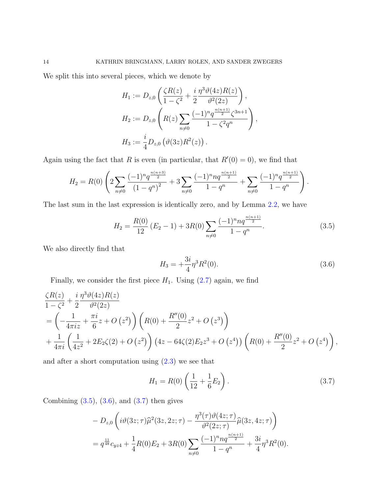We split this into several pieces, which we denote by

$$
H_1 := D_{z,0} \left( \frac{\zeta R(z)}{1 - \zeta^2} + \frac{i}{2} \frac{\eta^3 \vartheta(4z) R(z)}{\vartheta^2(2z)} \right),
$$
  
\n
$$
H_2 := D_{z,0} \left( R(z) \sum_{n \neq 0} \frac{(-1)^n q^{\frac{n(n+1)}{2}} \zeta^{3n+1}}{1 - \zeta^2 q^n} \right),
$$
  
\n
$$
H_3 := \frac{i}{4} D_{z,0} \left( \vartheta(3z) R^2(z) \right).
$$

Again using the fact that R is even (in particular, that  $R'(0) = 0$ ), we find that

$$
H_2 = R(0) \left( 2 \sum_{n \neq 0} \frac{(-1)^n q^{\frac{n(n+3)}{2}}}{(1-q^n)^2} + 3 \sum_{n \neq 0} \frac{(-1)^n n q^{\frac{n(n+1)}{2}}}{1-q^n} + \sum_{n \neq 0} \frac{(-1)^n q^{\frac{n(n+1)}{2}}}{1-q^n} \right).
$$

The last sum in the last expression is identically zero, and by Lemma [2.2,](#page-3-4) we have

<span id="page-13-0"></span>
$$
H_2 = \frac{R(0)}{12} (E_2 - 1) + 3R(0) \sum_{n \neq 0} \frac{(-1)^n n q^{\frac{n(n+1)}{2}}}{1 - q^n}.
$$
 (3.5)

We also directly find that

<span id="page-13-1"></span>
$$
H_3 = +\frac{3i}{4}\eta^3 R^2(0). \tag{3.6}
$$

Finally, we consider the first piece  $H_1$ . Using  $(2.7)$  again, we find

$$
\frac{\zeta R(z)}{1 - \zeta^2} + \frac{i}{2} \frac{\eta^3 \vartheta(4z) R(z)}{\vartheta^2(2z)}
$$
  
=  $\left( -\frac{1}{4\pi i z} + \frac{\pi i}{6} z + O(z^2) \right) \left( R(0) + \frac{R''(0)}{2} z^2 + O(z^3) \right)$   
+  $\frac{1}{4\pi i} \left( \frac{1}{4z^2} + 2E_2 \zeta(2) + O(z^2) \right) (4z - 64 \zeta(2) E_2 z^3 + O(z^4)) \left( R(0) + \frac{R''(0)}{2} z^2 + O(z^4) \right),$ 

and after a short computation using  $(2.3)$  we see that

<span id="page-13-2"></span>
$$
H_1 = R(0) \left( \frac{1}{12} + \frac{1}{6} E_2 \right). \tag{3.7}
$$

Combining  $(3.5)$ ,  $(3.6)$ , and  $(3.7)$  then gives

$$
- D_{z,0} \left( i\vartheta(3z;\tau)\widehat{\mu}^{2}(3z,2z;\tau) - \frac{\eta^{3}(\tau)\vartheta(4z;\tau)}{\vartheta^{2}(2z;\tau)} \widehat{\mu}(3z,4z;\tau) \right)
$$
  
=  $q^{\frac{11}{48}}c_{yz4} + \frac{1}{4}R(0)E_{2} + 3R(0) \sum_{n\neq 0} \frac{(-1)^{n}nq^{\frac{n(n+1)}{2}}}{1-q^{n}} + \frac{3i}{4}\eta^{3}R^{2}(0).$